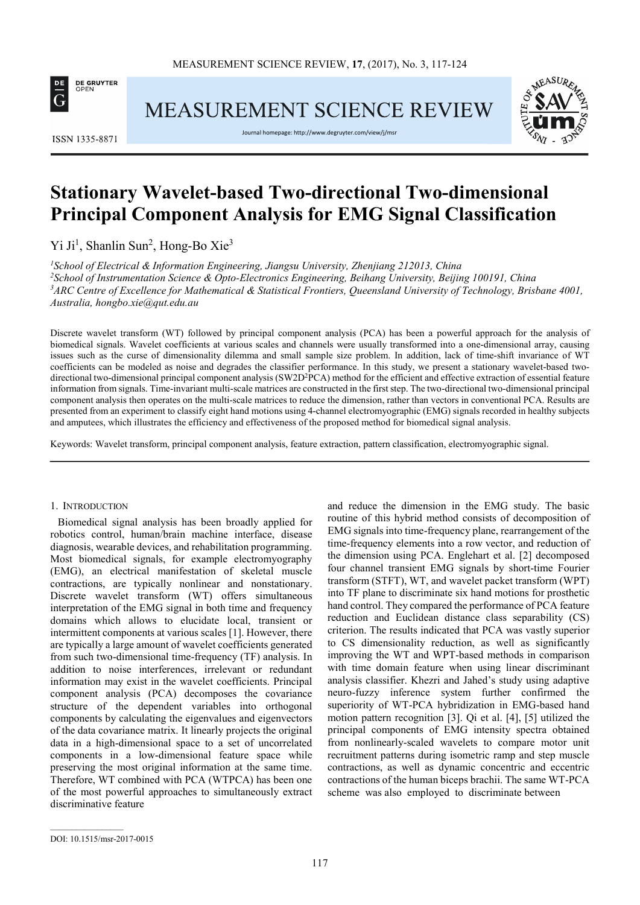

MEASUREMENT SCIENCE REVIEW



ISSN 1335-8871

Journal homepage: http://www.degruyter.com/view/j/msr

# **Stationary Wavelet-based Two-directional Two-dimensional Principal Component Analysis for EMG Signal Classification**

Yi Ji<sup>1</sup>, Shanlin Sun<sup>2</sup>, Hong-Bo Xie<sup>3</sup>

*School of Electrical & Information Engineering, Jiangsu University, Zhenjiang 212013, China School of Instrumentation Science & Opto-Electronics Engineering, Beihang University, Beijing 100191, China ARC Centre of Excellence for Mathematical & Statistical Frontiers, Queensland University of Technology, Brisbane 4001, Australia, hongbo.xie@qut.edu.au* 

Discrete wavelet transform (WT) followed by principal component analysis (PCA) has been a powerful approach for the analysis of biomedical signals. Wavelet coefficients at various scales and channels were usually transformed into a one-dimensional array, causing issues such as the curse of dimensionality dilemma and small sample size problem. In addition, lack of time-shift invariance of WT coefficients can be modeled as noise and degrades the classifier performance. In this study, we present a stationary wavelet-based twodirectional two-dimensional principal component analysis (SW2D<sup>2</sup>PCA) method for the efficient and effective extraction of essential feature information from signals. Time-invariant multi-scale matrices are constructed in the first step. The two-directional two-dimensional principal component analysis then operates on the multi-scale matrices to reduce the dimension, rather than vectors in conventional PCA. Results are presented from an experiment to classify eight hand motions using 4-channel electromyographic (EMG) signals recorded in healthy subjects and amputees, which illustrates the efficiency and effectiveness of the proposed method for biomedical signal analysis.

Keywords: Wavelet transform, principal component analysis, feature extraction, pattern classification, electromyographic signal.

# 1. INTRODUCTION

Biomedical signal analysis has been broadly applied for robotics control, human/brain machine interface, disease diagnosis, wearable devices, and rehabilitation programming. Most biomedical signals, for example electromyography (EMG), an electrical manifestation of skeletal muscle contractions, are typically nonlinear and nonstationary. Discrete wavelet transform (WT) offers simultaneous interpretation of the EMG signal in both time and frequency domains which allows to elucidate local, transient or intermittent components at various scales [1]. However, there are typically a large amount of wavelet coefficients generated from such two-dimensional time-frequency (TF) analysis. In addition to noise interferences, irrelevant or redundant information may exist in the wavelet coefficients. Principal component analysis (PCA) decomposes the covariance structure of the dependent variables into orthogonal components by calculating the eigenvalues and eigenvectors of the data covariance matrix. It linearly projects the original data in a high-dimensional space to a set of uncorrelated components in a low-dimensional feature space while preserving the most original information at the same time. Therefore, WT combined with PCA (WTPCA) has been one of the most powerful approaches to simultaneously extract discriminative feature

and reduce the dimension in the EMG study. The basic routine of this hybrid method consists of decomposition of EMG signals into time-frequency plane, rearrangement of the time-frequency elements into a row vector, and reduction of the dimension using PCA. Englehart et al. [2] decomposed four channel transient EMG signals by short-time Fourier transform (STFT), WT, and wavelet packet transform (WPT) into TF plane to discriminate six hand motions for prosthetic hand control. They compared the performance of PCA feature reduction and Euclidean distance class separability (CS) criterion. The results indicated that PCA was vastly superior to CS dimensionality reduction, as well as significantly improving the WT and WPT-based methods in comparison with time domain feature when using linear discriminant analysis classifier. Khezri and Jahed's study using adaptive neuro-fuzzy inference system further confirmed the superiority of WT-PCA hybridization in EMG-based hand motion pattern recognition [3]. Qi et al. [4], [5] utilized the principal components of EMG intensity spectra obtained from nonlinearly-scaled wavelets to compare motor unit recruitment patterns during isometric ramp and step muscle contractions, as well as dynamic concentric and eccentric contractions of the human biceps brachii. The same WT-PCA scheme was also employed to discriminate between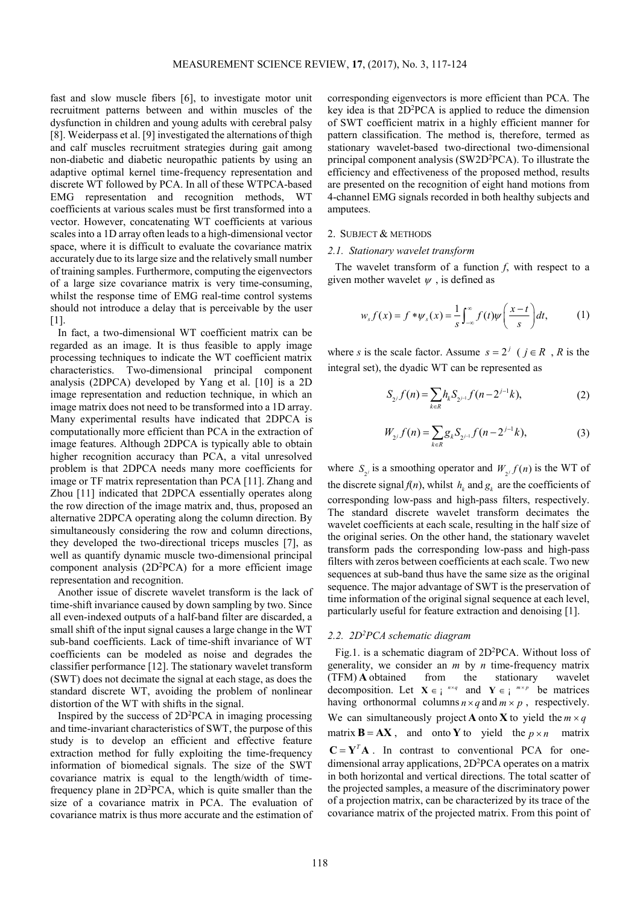fast and slow muscle fibers [6], to investigate motor unit recruitment patterns between and within muscles of the dysfunction in children and young adults with cerebral palsy [8]. Weiderpass et al. [9] investigated the alternations of thigh and calf muscles recruitment strategies during gait among non-diabetic and diabetic neuropathic patients by using an adaptive optimal kernel time-frequency representation and discrete WT followed by PCA. In all of these WTPCA-based EMG representation and recognition methods, WT coefficients at various scales must be first transformed into a vector. However, concatenating WT coefficients at various scales into a 1D array often leads to a high-dimensional vector space, where it is difficult to evaluate the covariance matrix accurately due to its large size and the relatively small number of training samples. Furthermore, computing the eigenvectors of a large size covariance matrix is very time-consuming, whilst the response time of EMG real-time control systems should not introduce a delay that is perceivable by the user [1].

In fact, a two-dimensional WT coefficient matrix can be regarded as an image. It is thus feasible to apply image processing techniques to indicate the WT coefficient matrix characteristics. Two-dimensional principal component analysis (2DPCA) developed by Yang et al. [10] is a 2D image representation and reduction technique, in which an image matrix does not need to be transformed into a 1D array. Many experimental results have indicated that 2DPCA is computationally more efficient than PCA in the extraction of image features. Although 2DPCA is typically able to obtain higher recognition accuracy than PCA, a vital unresolved problem is that 2DPCA needs many more coefficients for image or TF matrix representation than PCA [11]. Zhang and Zhou [11] indicated that 2DPCA essentially operates along the row direction of the image matrix and, thus, proposed an alternative 2DPCA operating along the column direction. By simultaneously considering the row and column directions, they developed the two-directional triceps muscles [7], as well as quantify dynamic muscle two-dimensional principal component analysis  $(2D<sup>2</sup>PCA)$  for a more efficient image representation and recognition.

Another issue of discrete wavelet transform is the lack of time-shift invariance caused by down sampling by two. Since all even-indexed outputs of a half-band filter are discarded, a small shift of the input signal causes a large change in the WT sub-band coefficients. Lack of time-shift invariance of WT coefficients can be modeled as noise and degrades the classifier performance [12]. The stationary wavelet transform (SWT) does not decimate the signal at each stage, as does the standard discrete WT, avoiding the problem of nonlinear distortion of the WT with shifts in the signal.

Inspired by the success of  $2D^2PCA$  in imaging processing and time-invariant characteristics of SWT, the purpose of this study is to develop an efficient and effective feature extraction method for fully exploiting the time-frequency information of biomedical signals. The size of the SWT covariance matrix is equal to the length/width of timefrequency plane in  $2D^2PCA$ , which is quite smaller than the size of a covariance matrix in PCA. The evaluation of covariance matrix is thus more accurate and the estimation of

corresponding eigenvectors is more efficient than PCA. The key idea is that 2D<sup>2</sup>PCA is applied to reduce the dimension of SWT coefficient matrix in a highly efficient manner for pattern classification. The method is, therefore, termed as stationary wavelet-based two-directional two-dimensional principal component analysis (SW2D<sup>2</sup>PCA). To illustrate the efficiency and effectiveness of the proposed method, results are presented on the recognition of eight hand motions from 4-channel EMG signals recorded in both healthy subjects and amputees.

#### 2. SUBJECT & METHODS

#### *2.1. Stationary wavelet transform*

The wavelet transform of a function *f*, with respect to a given mother wavelet  $\psi$ , is defined as

$$
w_s f(x) = f * \psi_s(x) = \frac{1}{s} \int_{-\infty}^{\infty} f(t) \psi\left(\frac{x-t}{s}\right) dt, \tag{1}
$$

where *s* is the scale factor. Assume  $s = 2^j$  ( $j \in R$ , R is the integral set), the dyadic WT can be represented as

$$
S_{2^j} f(n) = \sum_{k \in R} h_k S_{2^{j-1}} f(n - 2^{j-1}k),
$$
 (2)

$$
W_{2^j} f(n) = \sum_{k \in R} g_k S_{2^{j-1}} f(n - 2^{j-1}k),
$$
 (3)

where  $S_{2i}$  is a smoothing operator and  $W_{2i} f(n)$  is the WT of the discrete signal  $f(n)$ , whilst  $h_k$  and  $g_k$  are the coefficients of corresponding low-pass and high-pass filters, respectively. The standard discrete wavelet transform decimates the wavelet coefficients at each scale, resulting in the half size of the original series. On the other hand, the stationary wavelet transform pads the corresponding low-pass and high-pass filters with zeros between coefficients at each scale. Two new sequences at sub-band thus have the same size as the original sequence. The major advantage of SWT is the preservation of time information of the original signal sequence at each level, particularly useful for feature extraction and denoising [1].

#### *2.2. 2D<sup>2</sup>PCA schematic diagram*

Fig.1. is a schematic diagram of 2D<sup>2</sup>PCA. Without loss of generality, we consider an *m* by *n* time-frequency matrix (TFM) **A** obtained from the stationary wavelet decomposition. Let  $X \in \mathbb{R}^{n \times q}$  and  $Y \in \mathbb{R}^{m \times p}$  be matrices having orthonormal columns  $n \times q$  and  $m \times p$ , respectively. We can simultaneously project **A** onto **X** to yield the  $m \times q$ matrix  $\mathbf{B} = \mathbf{A}\mathbf{X}$ , and onto **Y** to yield the  $p \times n$  matrix  $\mathbf{C} = \mathbf{Y}^T \mathbf{A}$ . In contrast to conventional PCA for onedimensional array applications, 2D<sup>2</sup>PCA operates on a matrix in both horizontal and vertical directions. The total scatter of the projected samples, a measure of the discriminatory power of a projection matrix, can be characterized by its trace of the covariance matrix of the projected matrix. From this point of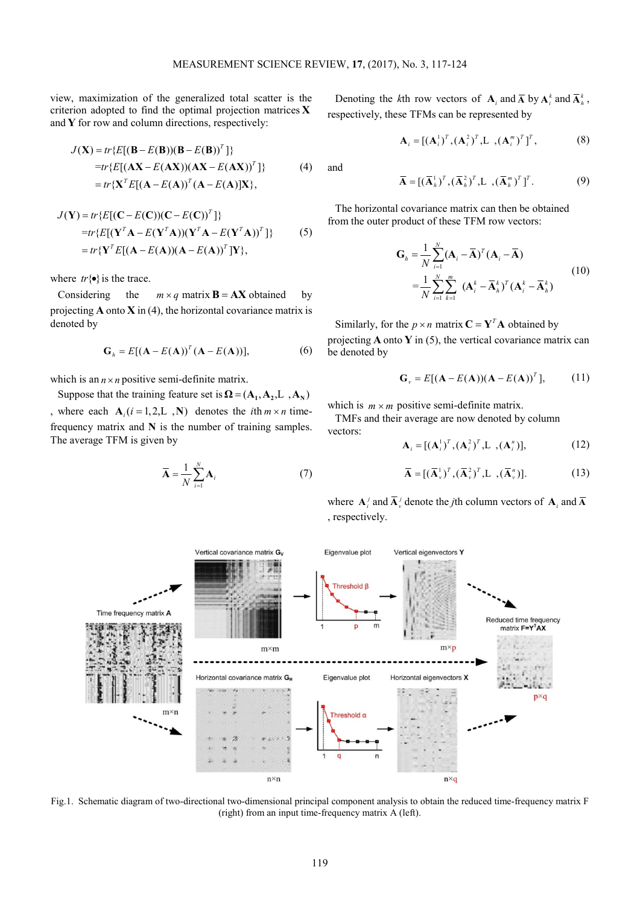view, maximization of the generalized total scatter is the criterion adopted to find the optimal projection matrices **X** and **Y** for row and column directions, respectively:

$$
J(\mathbf{X}) = tr\{E[(\mathbf{B} - E(\mathbf{B}))(\mathbf{B} - E(\mathbf{B}))^T]\}
$$
  
=tr\{E[(\mathbf{AX} - E(\mathbf{AX}))(\mathbf{AX} - E(\mathbf{AX}))^T]\}  
= tr\{\mathbf{X}^T E[(\mathbf{A} - E(\mathbf{A}))^T(\mathbf{A} - E(\mathbf{A})]\mathbf{X}\}, (4)

$$
J(\mathbf{Y}) = tr\{E[(\mathbf{C} - E(\mathbf{C}))(\mathbf{C} - E(\mathbf{C}))^T]\}
$$
  
=tr\{E[(\mathbf{Y}^T \mathbf{A} - E(\mathbf{Y}^T \mathbf{A}))(\mathbf{Y}^T \mathbf{A} - E(\mathbf{Y}^T \mathbf{A}))^T]\} (5)  
= tr\{\mathbf{Y}^T E[(\mathbf{A} - E(\mathbf{A}))(\mathbf{A} - E(\mathbf{A}))^T]\}

where  $tr{\{\bullet\}}$  is the trace.

Considering the  $m \times q$  matrix **B** = **AX** obtained by projecting **A** onto **X** in (4), the horizontal covariance matrix is denoted by

$$
\mathbf{G}_h = E[(\mathbf{A} - E(\mathbf{A}))^T (\mathbf{A} - E(\mathbf{A}))], \tag{6}
$$

which is an  $n \times n$  positive semi-definite matrix.

Suppose that the training feature set is  $\Omega = (A_1, A_2, L_3, A_3)$ , where each  $A_i (i = 1, 2, L, N)$  denotes the *i*th  $m \times n$  timefrequency matrix and **N** is the number of training samples. The average TFM is given by

$$
\overline{\mathbf{A}} = \frac{1}{N} \sum_{i=1}^{N} \mathbf{A}_i
$$
 (7)

Denoting the *k*th row vectors of  $\mathbf{A}_i$  and  $\overline{\mathbf{A}}$  by  $\mathbf{A}_i^k$  and  $\overline{\mathbf{A}}_k^k$ , respectively, these TFMs can be represented by

$$
\mathbf{A}_{i} = [(\mathbf{A}_{i}^{1})^{T}, (\mathbf{A}_{i}^{2})^{T}, \mathbf{L} , (\mathbf{A}_{i}^{m})^{T}]^{T}, \qquad (8)
$$

and

$$
\overline{\mathbf{A}} = [(\overline{\mathbf{A}}_h^1)^T, (\overline{\mathbf{A}}_h^2)^T, \mathbf{L}, (\overline{\mathbf{A}}_h^m)^T]^T. \tag{9}
$$

The horizontal covariance matrix can then be obtained from the outer product of these TFM row vectors:

$$
\mathbf{G}_{h} = \frac{1}{N} \sum_{i=1}^{N} (\mathbf{A}_{i} - \overline{\mathbf{A}})^{T} (\mathbf{A}_{i} - \overline{\mathbf{A}})
$$
  
= 
$$
\frac{1}{N} \sum_{i=1}^{N} \sum_{k=1}^{m} (\mathbf{A}_{i}^{k} - \overline{\mathbf{A}}_{h}^{k})^{T} (\mathbf{A}_{i}^{k} - \overline{\mathbf{A}}_{h}^{k})
$$
(10)

Similarly, for the  $p \times n$  matrix  $C = Y^T A$  obtained by projecting **A** onto **Y** in (5), the vertical covariance matrix can be denoted by

$$
\mathbf{G}_{v} = E[(\mathbf{A} - E(\mathbf{A}))(\mathbf{A} - E(\mathbf{A}))^{T}], \qquad (11)
$$

which is  $m \times m$  positive semi-definite matrix.

TMFs and their average are now denoted by column vectors:

$$
\mathbf{A}_{i} = [(\mathbf{A}_{i}^{1})^{T}, (\mathbf{A}_{i}^{2})^{T}, \mathbf{L} , (\mathbf{A}_{i}^{n})], \qquad (12)
$$

$$
\overline{\mathbf{A}} = [(\overline{\mathbf{A}}_v^1)^T, (\overline{\mathbf{A}}_v^2)^T, \mathbf{L}, (\overline{\mathbf{A}}_v^n)].
$$
 (13)

where  $\mathbf{A}_i^j$  and  $\overline{\mathbf{A}}_v^j$  denote the *j*th column vectors of  $\mathbf{A}_i$  and  $\overline{\mathbf{A}}_i$ , respectively.



Fig.1. Schematic diagram of two-directional two-dimensional principal component analysis to obtain the reduced time-frequency matrix F (right) from an input time-frequency matrix A (left).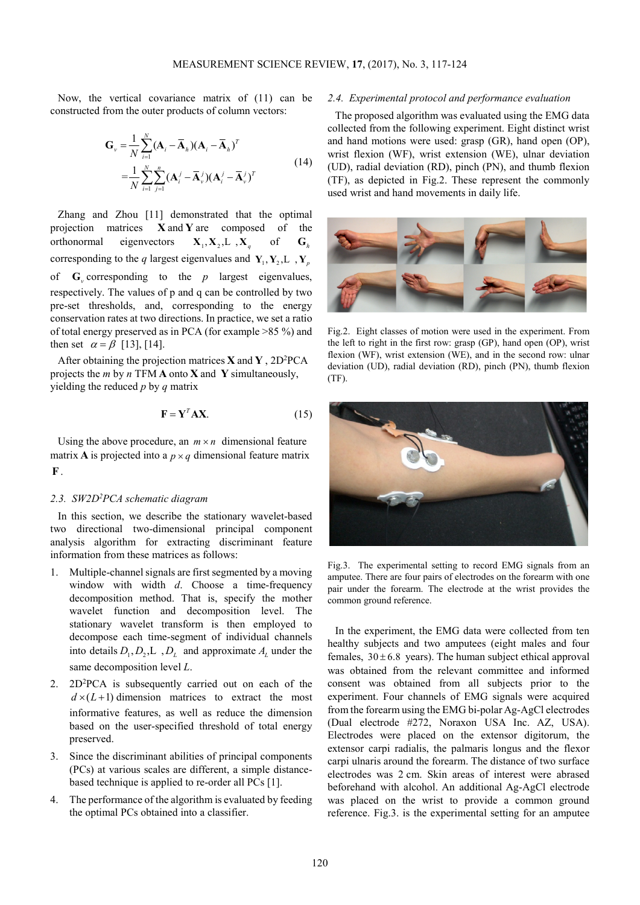Now, the vertical covariance matrix of (11) can be constructed from the outer products of column vectors:

$$
\mathbf{G}_{\nu} = \frac{1}{N} \sum_{i=1}^{N} (\mathbf{A}_{i} - \overline{\mathbf{A}}_{h})(\mathbf{A}_{i} - \overline{\mathbf{A}}_{h})^{T}
$$
  
= 
$$
\frac{1}{N} \sum_{i=1}^{N} \sum_{j=1}^{n} (\mathbf{A}_{i}^{j} - \overline{\mathbf{A}}_{\nu}^{j})(\mathbf{A}_{i}^{j} - \overline{\mathbf{A}}_{\nu}^{j})^{T}
$$
(14)

Zhang and Zhou [11] demonstrated that the optimal projection matrices **X** and **Y** are composed of the orthonormal eigenvectors  $X_1, X_2, L, X_a$ of  $\mathbf{G}_h$ corresponding to the *q* largest eigenvalues and  $Y_1, Y_2, L, Y_n$ of  $\mathbf{G}_v$  corresponding to the *p* largest eigenvalues, respectively. The values of p and q can be controlled by two pre-set thresholds, and, corresponding to the energy conservation rates at two directions. In practice, we set a ratio of total energy preserved as in PCA (for example >85 %) and then set  $\alpha = \beta$  [13], [14].

After obtaining the projection matrices  $\bf{X}$  and  $\bf{Y}$ , 2D<sup>2</sup>PCA projects the *m* by *n* TFM **A** onto **X** and **Y** simultaneously, yielding the reduced *p* by *q* matrix

$$
\mathbf{F} = \mathbf{Y}^T \mathbf{A} \mathbf{X}.
$$
 (15)

Using the above procedure, an  $m \times n$  dimensional feature matrix **A** is projected into a  $p \times q$  dimensional feature matrix **F**.

# *2.3. SW2D<sup>2</sup>PCA schematic diagram*

In this section, we describe the stationary wavelet-based two directional two-dimensional principal component analysis algorithm for extracting discriminant feature information from these matrices as follows:

- 1. Multiple-channel signals are first segmented by a moving window with width *d*. Choose a time-frequency decomposition method. That is, specify the mother wavelet function and decomposition level. The stationary wavelet transform is then employed to decompose each time-segment of individual channels into details  $D_1, D_2, L$ ,  $D_L$  and approximate  $A_L$  under the same decomposition level *L*.
- 2. 2D<sup>2</sup>PCA is subsequently carried out on each of the  $d \times (L+1)$  dimension matrices to extract the most informative features, as well as reduce the dimension based on the user-specified threshold of total energy preserved.
- 3. Since the discriminant abilities of principal components (PCs) at various scales are different, a simple distancebased technique is applied to re-order all PCs [1].
- 4. The performance of the algorithm is evaluated by feeding the optimal PCs obtained into a classifier.

#### *2.4. Experimental protocol and performance evaluation*

The proposed algorithm was evaluated using the EMG data collected from the following experiment. Eight distinct wrist and hand motions were used: grasp (GR), hand open (OP), wrist flexion (WF), wrist extension (WE), ulnar deviation (UD), radial deviation (RD), pinch (PN), and thumb flexion (TF), as depicted in Fig.2. These represent the commonly used wrist and hand movements in daily life.



Fig.2. Eight classes of motion were used in the experiment. From the left to right in the first row: grasp (GP), hand open (OP), wrist flexion (WF), wrist extension (WE), and in the second row: ulnar deviation (UD), radial deviation (RD), pinch (PN), thumb flexion (TF).



Fig.3. The experimental setting to record EMG signals from an amputee. There are four pairs of electrodes on the forearm with one pair under the forearm. The electrode at the wrist provides the common ground reference.

In the experiment, the EMG data were collected from ten healthy subjects and two amputees (eight males and four females,  $30 \pm 6.8$  years). The human subject ethical approval was obtained from the relevant committee and informed consent was obtained from all subjects prior to the experiment. Four channels of EMG signals were acquired from the forearm using the EMG bi-polar Ag-AgCl electrodes (Dual electrode #272, Noraxon USA Inc. AZ, USA). Electrodes were placed on the extensor digitorum, the extensor carpi radialis, the palmaris longus and the flexor carpi ulnaris around the forearm. The distance of two surface electrodes was 2 cm. Skin areas of interest were abrased beforehand with alcohol. An additional Ag-AgCl electrode was placed on the wrist to provide a common ground reference. Fig.3. is the experimental setting for an amputee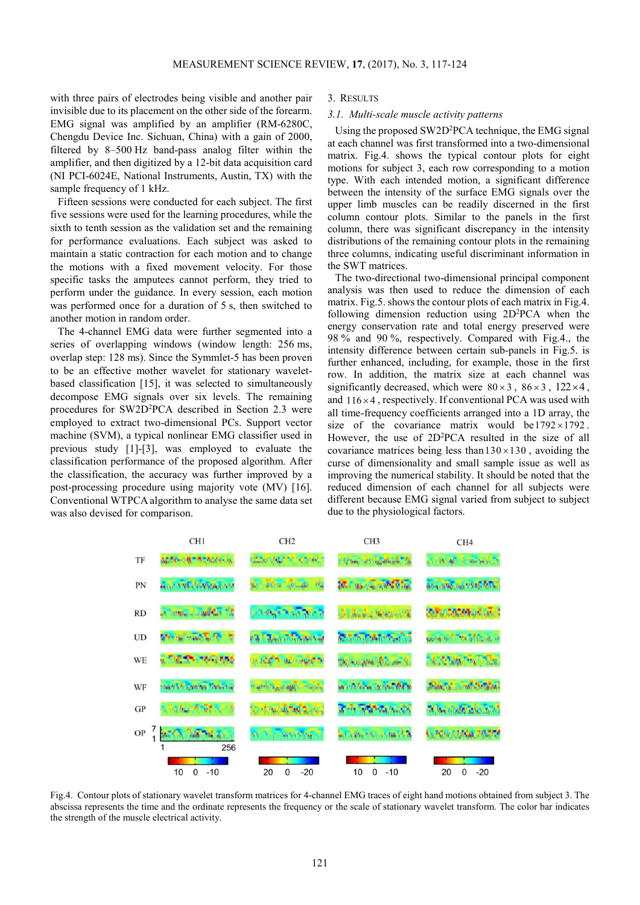with three pairs of electrodes being visible and another pair invisible due to its placement on the other side of the forearm. EMG signal was amplified by an amplifier (RM-6280C, Chengdu Device Inc. Sichuan, China) with a gain of 2000, filtered by 8–500 Hz band-pass analog filter within the amplifier, and then digitized by a 12-bit data acquisition card (NI PCI-6024E, National Instruments, Austin, TX) with the sample frequency of 1 kHz.

Fifteen sessions were conducted for each subject. The first five sessions were used for the learning procedures, while the sixth to tenth session as the validation set and the remaining for performance evaluations. Each subject was asked to maintain a static contraction for each motion and to change the motions with a fixed movement velocity. For those specific tasks the amputees cannot perform, they tried to perform under the guidance. In every session, each motion was performed once for a duration of 5 s, then switched to another motion in random order.

The 4-channel EMG data were further segmented into a series of overlapping windows (window length: 256 ms, overlap step: 128 ms). Since the Symmlet-5 has been proven to be an effective mother wavelet for stationary waveletbased classification [15], it was selected to simultaneously decompose EMG signals over six levels. The remaining procedures for SW2D<sup>2</sup>PCA described in Section 2.3 were employed to extract two-dimensional PCs. Support vector machine (SVM), a typical nonlinear EMG classifier used in previous study [1]-[3], was employed to evaluate the classification performance of the proposed algorithm. After the classification, the accuracy was further improved by a post-processing procedure using majority vote (MV) [16]. Conventional WTPCA algorithm to analyse the same data set was also devised for comparison.

# 3. RESULTS

#### *3.1. Multi-scale muscle activity patterns*

Using the proposed SW2D<sup>2</sup>PCA technique, the EMG signal at each channel was first transformed into a two-dimensional matrix. Fig.4. shows the typical contour plots for eight motions for subject 3, each row corresponding to a motion type. With each intended motion, a significant difference between the intensity of the surface EMG signals over the upper limb muscles can be readily discerned in the first column contour plots. Similar to the panels in the first column, there was significant discrepancy in the intensity distributions of the remaining contour plots in the remaining three columns, indicating useful discriminant information in the SWT matrices.

The two-directional two-dimensional principal component analysis was then used to reduce the dimension of each matrix. Fig. 5. shows the contour plots of each matrix in Fig. 4. following dimension reduction using  $2D^2PCA$  when the energy conservation rate and total energy preserved were 98 % and 90 %, respectively. Compared with Fig.4., the intensity difference between certain sub-panels in Fig.5. is further enhanced, including, for example, those in the first row. In addition, the matrix size at each channel was significantly decreased, which were  $80 \times 3$ ,  $86 \times 3$ ,  $122 \times 4$ , and  $116 \times 4$ , respectively. If conventional PCA was used with all time-frequency coefficients arranged into a 1D array, the size of the covariance matrix would be  $1792 \times 1792$ . However, the use of 2D<sup>2</sup>PCA resulted in the size of all covariance matrices being less than  $130 \times 130$ , avoiding the curse of dimensionality and small sample issue as well as improving the numerical stability. It should be noted that the reduced dimension of each channel for all subjects were different because EMG signal varied from subject to subject due to the physiological factors.



Fig.4. Contour plots of stationary wavelet transform matrices for 4-channel EMG traces of eight hand motions obtained from subject 3. The abscissa represents the time and the ordinate represents the frequency or the scale of stationary wavelet transform. The color bar indicates the strength of the muscle electrical activity.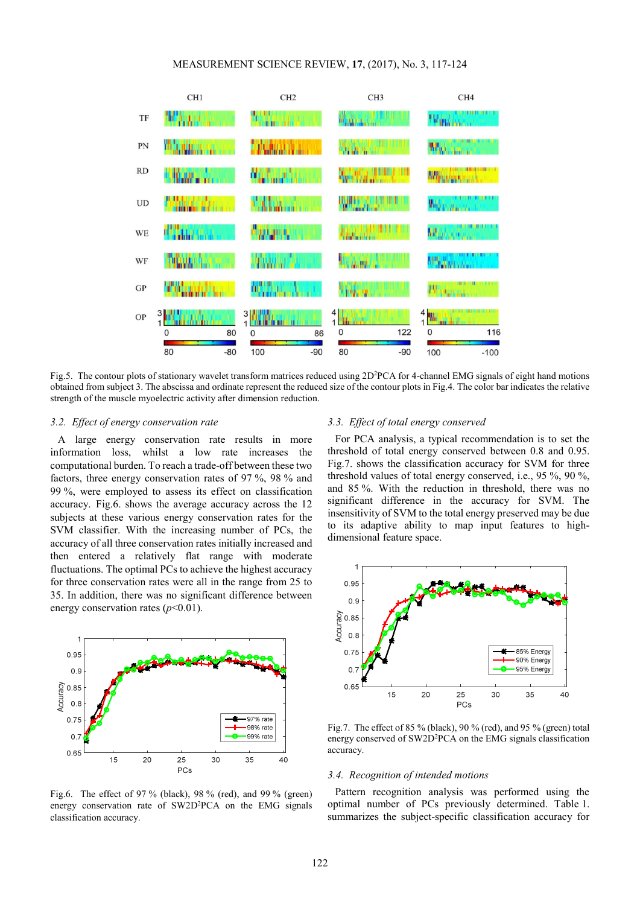# MEASUREMENT SCIENCE REVIEW, **17**, (2017), No. 3, 117-124



Fig.5. The contour plots of stationary wavelet transform matrices reduced using 2D<sup>2</sup>PCA for 4-channel EMG signals of eight hand motions obtained from subject 3. The abscissa and ordinate represent the reduced size of the contour plots in Fig.4. The color bar indicates the relative strength of the muscle myoelectric activity after dimension reduction.

#### *3.2. Effect of energy conservation rate*

A large energy conservation rate results in more information loss, whilst a low rate increases the computational burden. To reach a trade-off between these two factors, three energy conservation rates of 97 %, 98 % and 99 %, were employed to assess its effect on classification accuracy. Fig.6. shows the average accuracy across the 12 subjects at these various energy conservation rates for the SVM classifier. With the increasing number of PCs, the accuracy of all three conservation rates initially increased and then entered a relatively flat range with moderate fluctuations. The optimal PCs to achieve the highest accuracy for three conservation rates were all in the range from 25 to 35. In addition, there was no significant difference between energy conservation rates  $(p<0.01)$ .



Fig.6. The effect of 97 % (black), 98 % (red), and 99 % (green) energy conservation rate of SW2D<sup>2</sup>PCA on the EMG signals classification accuracy.

# *3.3. Effect of total energy conserved*

For PCA analysis, a typical recommendation is to set the threshold of total energy conserved between 0.8 and 0.95. Fig.7. shows the classification accuracy for SVM for three threshold values of total energy conserved, i.e., 95 %, 90 %, and 85 %. With the reduction in threshold, there was no significant difference in the accuracy for SVM. The insensitivity of SVM to the total energy preserved may be due to its adaptive ability to map input features to highdimensional feature space.



Fig.7. The effect of 85 % (black), 90 % (red), and 95 % (green) total energy conserved of SW2D<sup>2</sup>PCA on the EMG signals classification accuracy.

#### *3.4. Recognition of intended motions*

Pattern recognition analysis was performed using the optimal number of PCs previously determined. Table 1. summarizes the subject-specific classification accuracy for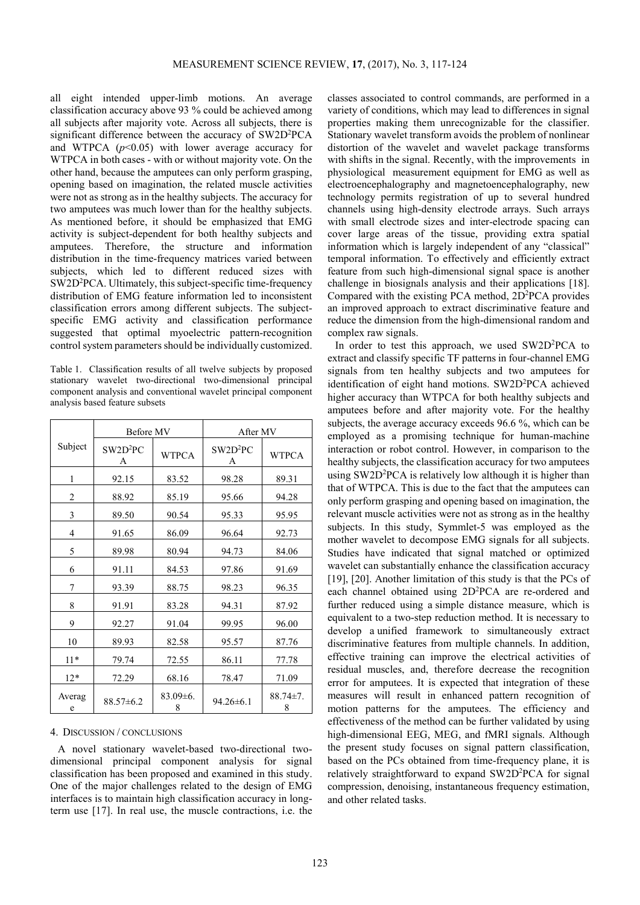all eight intended upper-limb motions. An average classification accuracy above 93 % could be achieved among all subjects after majority vote. Across all subjects, there is significant difference between the accuracy of SW2D<sup>2</sup>PCA and WTPCA  $(p<0.05)$  with lower average accuracy for WTPCA in both cases - with or without majority vote. On the other hand, because the amputees can only perform grasping, opening based on imagination, the related muscle activities were not as strong as in the healthy subjects. The accuracy for two amputees was much lower than for the healthy subjects. As mentioned before, it should be emphasized that EMG activity is subject-dependent for both healthy subjects and amputees. Therefore, the structure and information distribution in the time-frequency matrices varied between subjects, which led to different reduced sizes with SW2D<sup>2</sup>PCA. Ultimately, this subject-specific time-frequency distribution of EMG feature information led to inconsistent classification errors among different subjects. The subjectspecific EMG activity and classification performance suggested that optimal myoelectric pattern-recognition control system parameters should be individually customized.

Table 1. Classification results of all twelve subjects by proposed stationary wavelet two-directional two-dimensional principal component analysis and conventional wavelet principal component analysis based feature subsets

|                | Before MV                 |                   | After MV                  |                     |
|----------------|---------------------------|-------------------|---------------------------|---------------------|
| Subject        | SW2D <sup>2</sup> PC<br>A | <b>WTPCA</b>      | SW2D <sup>2</sup> PC<br>Α | <b>WTPCA</b>        |
| 1              | 92.15                     | 83.52             | 98.28                     | 89.31               |
| $\overline{2}$ | 88.92                     | 85.19             | 95.66                     | 94.28               |
| 3              | 89.50                     | 90.54             | 95.33                     | 95.95               |
| 4              | 91.65                     | 86.09             | 96.64                     | 92.73               |
| 5              | 89.98                     | 80.94             | 94.73                     | 84.06               |
| 6              | 91.11                     | 84.53             | 97.86                     | 91.69               |
| 7              | 93.39                     | 88.75             | 98.23                     | 96.35               |
| 8              | 91.91                     | 83.28             | 94.31                     | 87.92               |
| 9              | 92.27                     | 91.04             | 99.95                     | 96.00               |
| 10             | 89.93                     | 82.58             | 95.57                     | 87.76               |
| $11*$          | 79.74                     | 72.55             | 86.11                     | 77.78               |
| $12*$          | 72.29                     | 68.16             | 78.47                     | 71.09               |
| Averag<br>e    | $88.57 \pm 6.2$           | $83.09\pm6.$<br>8 | $94.26 \pm 6.1$           | $88.74 \pm 7.$<br>8 |

# 4. DISCUSSION / CONCLUSIONS

A novel stationary wavelet-based two-directional twodimensional principal component analysis for signal classification has been proposed and examined in this study. One of the major challenges related to the design of EMG interfaces is to maintain high classification accuracy in longterm use [17]. In real use, the muscle contractions, i.e. the classes associated to control commands, are performed in a variety of conditions, which may lead to differences in signal properties making them unrecognizable for the classifier. Stationary wavelet transform avoids the problem of nonlinear distortion of the wavelet and wavelet package transforms with shifts in the signal. Recently, with the improvements in physiological measurement equipment for EMG as well as electroencephalography and magnetoencephalography, new technology permits registration of up to several hundred channels using high-density electrode arrays. Such arrays with small electrode sizes and inter-electrode spacing can cover large areas of the tissue, providing extra spatial information which is largely independent of any "classical" temporal information. To effectively and efficiently extract feature from such high-dimensional signal space is another challenge in biosignals analysis and their applications [18]. Compared with the existing PCA method, 2D<sup>2</sup>PCA provides an improved approach to extract discriminative feature and reduce the dimension from the high-dimensional random and complex raw signals.

In order to test this approach, we used SW2D<sup>2</sup>PCA to extract and classify specific TF patterns in four-channel EMG signals from ten healthy subjects and two amputees for identification of eight hand motions. SW2D<sup>2</sup>PCA achieved higher accuracy than WTPCA for both healthy subjects and amputees before and after majority vote. For the healthy subjects, the average accuracy exceeds 96.6 %, which can be employed as a promising technique for human-machine interaction or robot control. However, in comparison to the healthy subjects, the classification accuracy for two amputees using SW2D<sup>2</sup>PCA is relatively low although it is higher than that of WTPCA. This is due to the fact that the amputees can only perform grasping and opening based on imagination, the relevant muscle activities were not as strong as in the healthy subjects. In this study, Symmlet-5 was employed as the mother wavelet to decompose EMG signals for all subjects. Studies have indicated that signal matched or optimized wavelet can substantially enhance the classification accuracy [19], [20]. Another limitation of this study is that the PCs of each channel obtained using 2D<sup>2</sup>PCA are re-ordered and further reduced using a simple distance measure, which is equivalent to a two-step reduction method. It is necessary to develop a unified framework to simultaneously extract discriminative features from multiple channels. In addition, effective training can improve the electrical activities of residual muscles, and, therefore decrease the recognition error for amputees. It is expected that integration of these measures will result in enhanced pattern recognition of motion patterns for the amputees. The efficiency and effectiveness of the method can be further validated by using high-dimensional EEG, MEG, and fMRI signals. Although the present study focuses on signal pattern classification, based on the PCs obtained from time-frequency plane, it is relatively straightforward to expand SW2D<sup>2</sup>PCA for signal compression, denoising, instantaneous frequency estimation, and other related tasks.